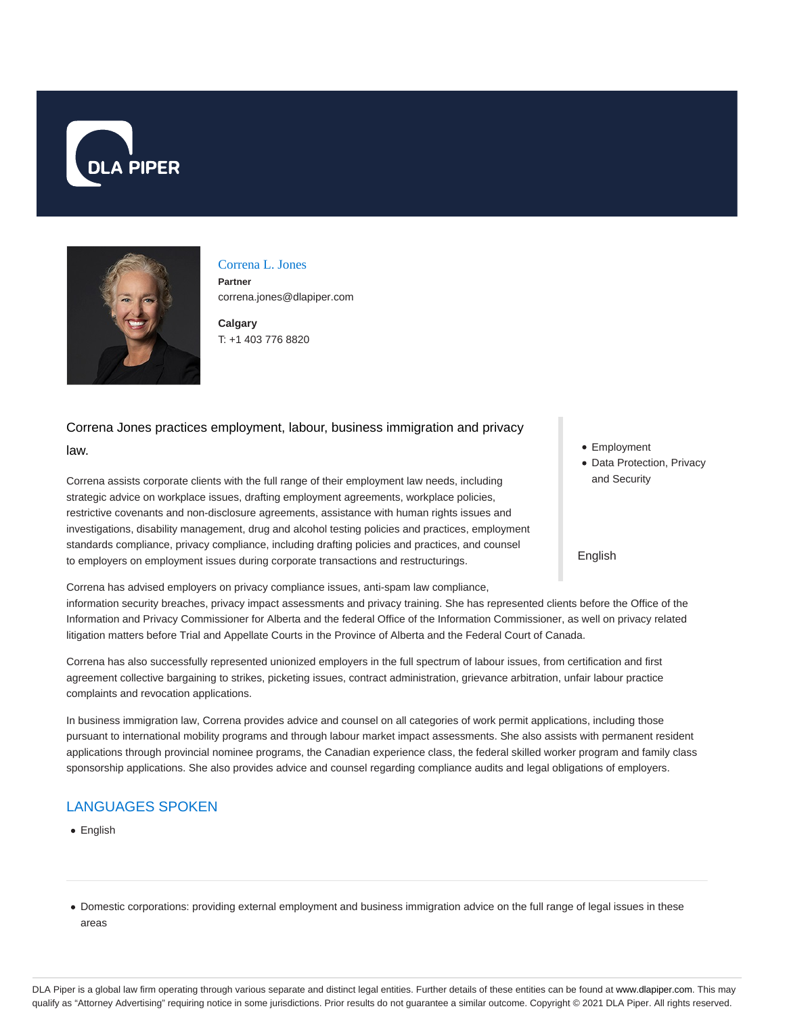



## Correna L. Jones **Partner**

correna.jones@dlapiper.com

**Calgary** T: +1 403 776 8820

# Correna Jones practices employment, labour, business immigration and privacy

## law.

Correna assists corporate clients with the full range of their employment law needs, including strategic advice on workplace issues, drafting employment agreements, workplace policies, restrictive covenants and non-disclosure agreements, assistance with human rights issues and investigations, disability management, drug and alcohol testing policies and practices, employment standards compliance, privacy compliance, including drafting policies and practices, and counsel to employers on employment issues during corporate transactions and restructurings.

Correna has advised employers on privacy compliance issues, anti-spam law compliance, information security breaches, privacy impact assessments and privacy training. She has represented clients before the Office of the Information and Privacy Commissioner for Alberta and the federal Office of the Information Commissioner, as well on privacy related litigation matters before Trial and Appellate Courts in the Province of Alberta and the Federal Court of Canada.

Correna has also successfully represented unionized employers in the full spectrum of labour issues, from certification and first agreement collective bargaining to strikes, picketing issues, contract administration, grievance arbitration, unfair labour practice complaints and revocation applications.

In business immigration law, Correna provides advice and counsel on all categories of work permit applications, including those pursuant to international mobility programs and through labour market impact assessments. She also assists with permanent resident applications through provincial nominee programs, the Canadian experience class, the federal skilled worker program and family class sponsorship applications. She also provides advice and counsel regarding compliance audits and legal obligations of employers.

# LANGUAGES SPOKEN

- English
- Domestic corporations: providing external employment and business immigration advice on the full range of legal issues in these areas
- Employment
- Data Protection, Privacy and Security

English

DLA Piper is a global law firm operating through various separate and distinct legal entities. Further details of these entities can be found at www.dlapiper.com. This may qualify as "Attorney Advertising" requiring notice in some jurisdictions. Prior results do not guarantee a similar outcome. Copyright @ 2021 DLA Piper. All rights reserved.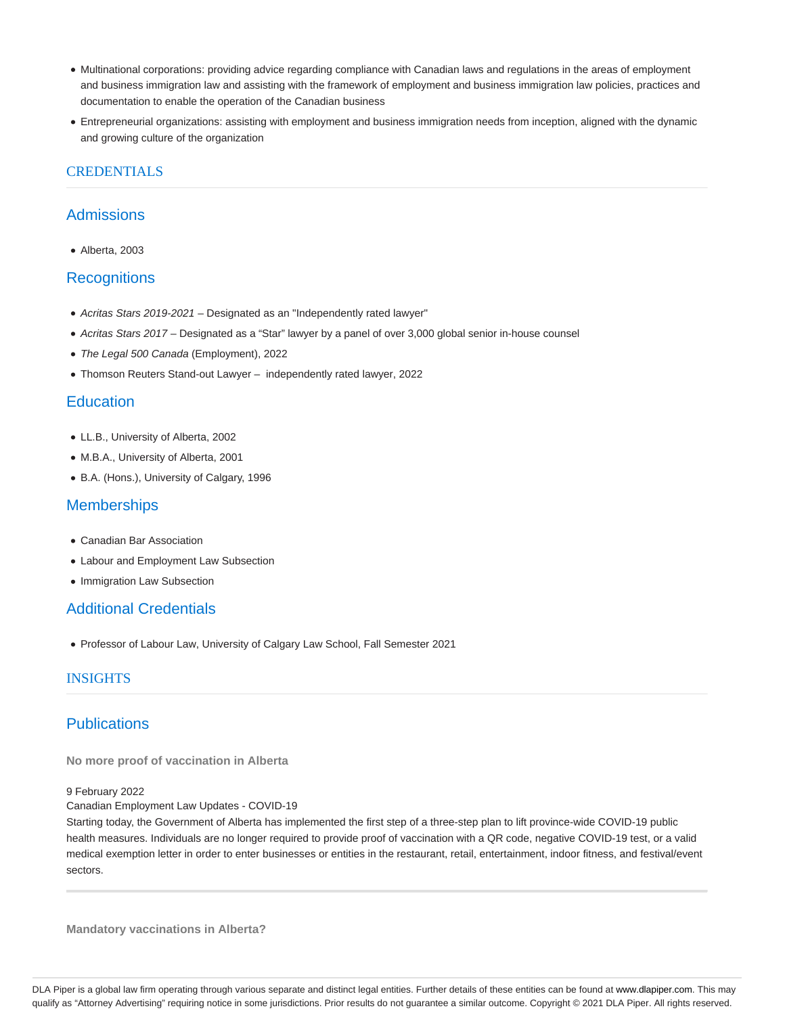- Multinational corporations: providing advice regarding compliance with Canadian laws and regulations in the areas of employment and business immigration law and assisting with the framework of employment and business immigration law policies, practices and documentation to enable the operation of the Canadian business
- Entrepreneurial organizations: assisting with employment and business immigration needs from inception, aligned with the dynamic and growing culture of the organization

# **CREDENTIALS**

# Admissions

Alberta, 2003

# **Recognitions**

- Acritas Stars 2019-2021 Designated as an "Independently rated lawyer"
- Acritas Stars 2017 Designated as a "Star" lawyer by a panel of over 3,000 global senior in-house counsel
- The Legal 500 Canada (Employment), 2022
- Thomson Reuters Stand-out Lawyer independently rated lawyer, 2022

## **Education**

- LL.B., University of Alberta, 2002
- M.B.A., University of Alberta, 2001
- B.A. (Hons.), University of Calgary, 1996

## **Memberships**

- Canadian Bar Association
- Labour and Employment Law Subsection
- Immigration Law Subsection

# Additional Credentials

Professor of Labour Law, University of Calgary Law School, Fall Semester 2021

## INSIGHTS

# **Publications**

**No more proof of vaccination in Alberta**

#### 9 February 2022

Canadian Employment Law Updates - COVID-19

Starting today, the Government of Alberta has implemented the first step of a three-step plan to lift province-wide COVID-19 public health measures. Individuals are no longer required to provide proof of vaccination with a QR code, negative COVID-19 test, or a valid medical exemption letter in order to enter businesses or entities in the restaurant, retail, entertainment, indoor fitness, and festival/event sectors.

**Mandatory vaccinations in Alberta?**

DLA Piper is a global law firm operating through various separate and distinct legal entities. Further details of these entities can be found at www.dlapiper.com. This may qualify as "Attorney Advertising" requiring notice in some jurisdictions. Prior results do not guarantee a similar outcome. Copyright © 2021 DLA Piper. All rights reserved.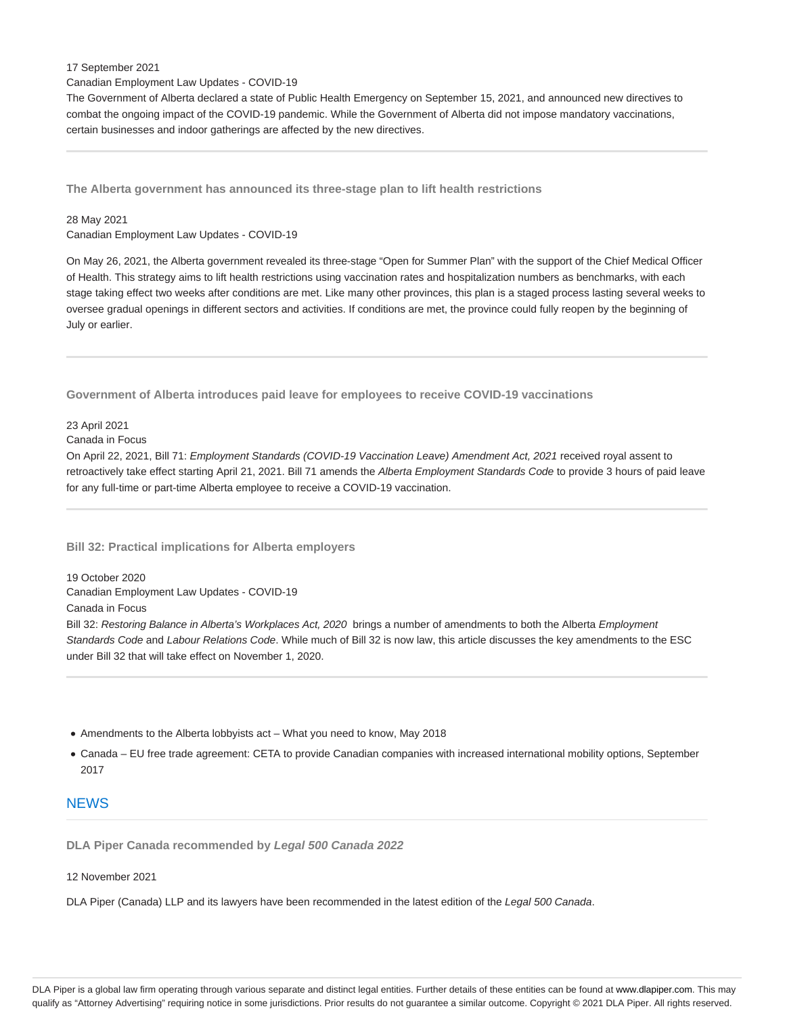#### 17 September 2021

Canadian Employment Law Updates - COVID-19

The Government of Alberta declared a state of Public Health Emergency on September 15, 2021, and announced new directives to combat the ongoing impact of the COVID-19 pandemic. While the Government of Alberta did not impose mandatory vaccinations, certain businesses and indoor gatherings are affected by the new directives.

**The Alberta government has announced its three-stage plan to lift health restrictions**

#### 28 May 2021

Canadian Employment Law Updates - COVID-19

On May 26, 2021, the Alberta government revealed its three-stage "Open for Summer Plan" with the support of the Chief Medical Officer of Health. This strategy aims to lift health restrictions using vaccination rates and hospitalization numbers as benchmarks, with each stage taking effect two weeks after conditions are met. Like many other provinces, this plan is a staged process lasting several weeks to oversee gradual openings in different sectors and activities. If conditions are met, the province could fully reopen by the beginning of July or earlier.

**Government of Alberta introduces paid leave for employees to receive COVID-19 vaccinations**

#### 23 April 2021

Canada in Focus

On April 22, 2021, Bill 71: Employment Standards (COVID-19 Vaccination Leave) Amendment Act, 2021 received royal assent to retroactively take effect starting April 21, 2021. Bill 71 amends the Alberta Employment Standards Code to provide 3 hours of paid leave for any full-time or part-time Alberta employee to receive a COVID-19 vaccination.

### **Bill 32: Practical implications for Alberta employers**

19 October 2020 Canadian Employment Law Updates - COVID-19

Canada in Focus

Bill 32: Restoring Balance in Alberta's Workplaces Act, 2020 brings a number of amendments to both the Alberta Employment Standards Code and Labour Relations Code. While much of Bill 32 is now law, this article discusses the key amendments to the ESC under Bill 32 that will take effect on November 1, 2020.

- Amendments to the Alberta lobbyists act What you need to know, May 2018
- Canada EU free trade agreement: CETA to provide Canadian companies with increased international mobility options, September 2017

## **NEWS**

**DLA Piper Canada recommended by Legal 500 Canada 2022**

#### 12 November 2021

DLA Piper (Canada) LLP and its lawyers have been recommended in the latest edition of the Legal 500 Canada.